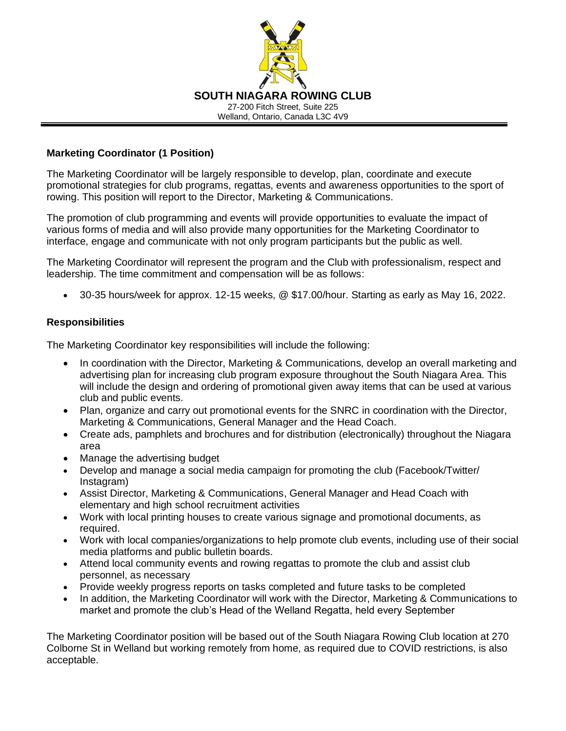

## **Marketing Coordinator (1 Position)**

The Marketing Coordinator will be largely responsible to develop, plan, coordinate and execute promotional strategies for club programs, regattas, events and awareness opportunities to the sport of rowing. This position will report to the Director, Marketing & Communications.

The promotion of club programming and events will provide opportunities to evaluate the impact of various forms of media and will also provide many opportunities for the Marketing Coordinator to interface, engage and communicate with not only program participants but the public as well.

The Marketing Coordinator will represent the program and the Club with professionalism, respect and leadership. The time commitment and compensation will be as follows:

• 30-35 hours/week for approx. 12-15 weeks, @ \$17.00/hour. Starting as early as May 16, 2022.

## **Responsibilities**

The Marketing Coordinator key responsibilities will include the following:

- In coordination with the Director, Marketing & Communications, develop an overall marketing and advertising plan for increasing club program exposure throughout the South Niagara Area. This will include the design and ordering of promotional given away items that can be used at various club and public events.
- Plan, organize and carry out promotional events for the SNRC in coordination with the Director, Marketing & Communications, General Manager and the Head Coach.
- Create ads, pamphlets and brochures and for distribution (electronically) throughout the Niagara area
- Manage the advertising budget
- Develop and manage a social media campaign for promoting the club (Facebook/Twitter/ Instagram)
- Assist Director, Marketing & Communications, General Manager and Head Coach with elementary and high school recruitment activities
- Work with local printing houses to create various signage and promotional documents, as required.
- Work with local companies/organizations to help promote club events, including use of their social media platforms and public bulletin boards.
- Attend local community events and rowing regattas to promote the club and assist club personnel, as necessary
- Provide weekly progress reports on tasks completed and future tasks to be completed
- In addition, the Marketing Coordinator will work with the Director, Marketing & Communications to market and promote the club's Head of the Welland Regatta, held every September

The Marketing Coordinator position will be based out of the South Niagara Rowing Club location at 270 Colborne St in Welland but working remotely from home, as required due to COVID restrictions, is also acceptable.